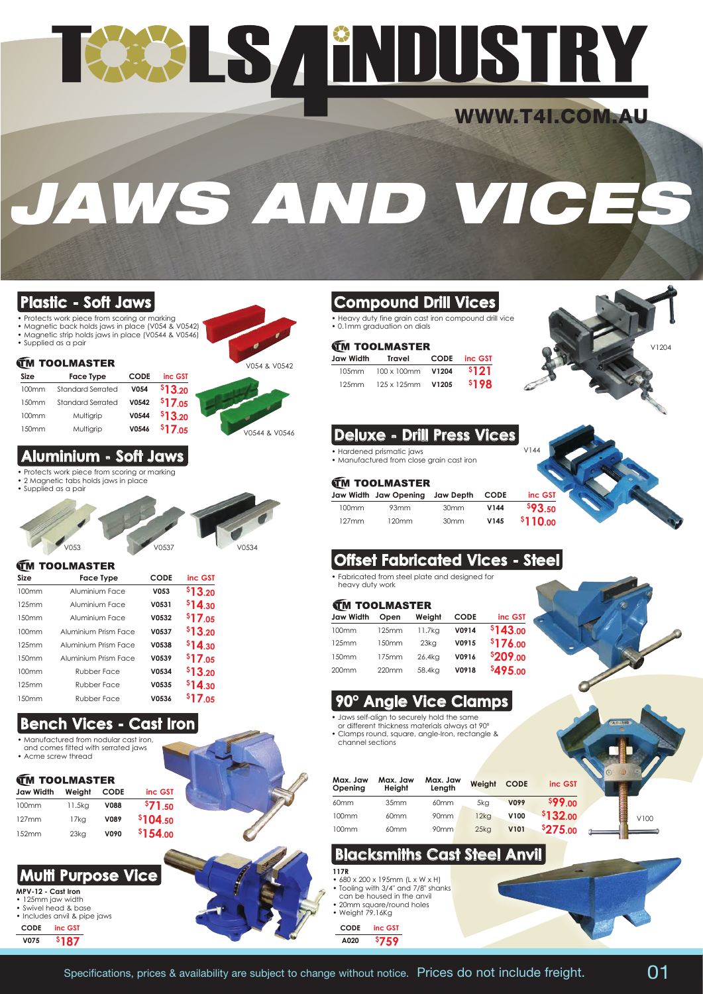# TAALS / ENDUSTRY

# WWW.T4I.COM.AU

V144

# *JAWS AND VICE*

# • Protects work piece from scoring or marking

- 
- Magnetic back holds jaws in place (V054 & V0542) Magnetic strip holds jaws in place (V0544 & V0546)
- Supplied as a pair

#### **TM TOOLMASTER**

| Size  | <b>Face Type</b>         | <b>CODE</b> | inc GST |  |
|-------|--------------------------|-------------|---------|--|
| 100mm | <b>Standard Serrated</b> | V054        | \$13.20 |  |
| 150mm | <b>Standard Serrated</b> | V0542       | \$17.05 |  |
| 100mm | Multigrip                | V0544       | \$13.20 |  |
| 150mm | Multigrip                | V0546       | \$17.05 |  |



V0544 & V0546

#### **Aluminium - Soft Jaws**

- Protects work piece from scoring or marking • 2 Magnetic tabs holds jaws in place
- Supplied as a pair



#### **IM TOOLMASTER**

| Size              | Face Type            | <b>CODE</b> | inc GST     |
|-------------------|----------------------|-------------|-------------|
| 100mm             | Aluminium Face       | V053        | \$13.20     |
| 125mm             | Aluminium Face       | V0531       | \$14.30     |
| 150mm             | Aluminium Face       | V0532       | \$17.05     |
| 100 <sub>mm</sub> | Aluminium Prism Face | V0537       | \$13.20     |
| 125mm             | Aluminium Prism Face | V0538       | \$14,30     |
| 150mm             | Aluminium Prism Face | V0539       | \$17.05     |
| 100 <sub>mm</sub> | <b>Rubber Face</b>   | V0534       | \$13.20     |
| 125mm             | <b>Rubber Face</b>   | V0535       | $$14_{,30}$ |
| 1.50mm            | <b>Rubber Face</b>   | V0536       | $$17_{.05}$ |

### **Bench Vices - Cast Iron**

- Manufactured from nodular cast iron and comes fitted with serrated jaws
- Acme screw thread

#### **TM TOOLMASTER**

| Jaw Width | Weight  | <b>CODE</b> | inc GST             |
|-----------|---------|-------------|---------------------|
| 100mm     | 11.5ka  | <b>V088</b> | <sup>\$</sup> 71.50 |
| 127mm     | $17k$ a | V089        | \$104.50            |
| 152mm     | $23k$ g | V090        | \$154.00            |

### **Multi Purpose Vice**

#### **MPV-12 - Cast Iron**

• 125mm jaw width • Swivel head & base • Includes anvil & pipe jaws

**CODE inc GST V075 \$ 187**



• Heavy duty fine grain cast iron compound drill vice • 0.1mm graduation on dials

#### **FM TOOLMASTER**

| <b>The communication</b> |                   |      |         |  |  |  |
|--------------------------|-------------------|------|---------|--|--|--|
| Jaw Width                | Travel            | CODE | inc GST |  |  |  |
| 10.5mm                   | 100 x 100mm V1204 |      | \$121   |  |  |  |
| 125mm                    | 125 x 125mm V1205 |      | \$198   |  |  |  |



#### **Deluxe - Drill Press Vices**

- Hardened prismatic jaws
- Manufactured from close grain cast iron

#### **TM TOOLMASTER**

|       | Jaw Width Jaw Opening Jaw Depth CODE |                  |      | inc GST        |
|-------|--------------------------------------|------------------|------|----------------|
| 100mm | 93mm                                 | 30 <sub>mm</sub> | V144 | <b>\$93.50</b> |
| 127mm | 120mm                                | 30 <sub>mm</sub> | V145 | \$110.00       |

# **Offset Fabricated Vices - Steel**

• Fabricated from steel plate and designed for heavy duty work

#### **FM TOOLMASTED**

| <b>Jaw Width</b>  | Open  | Weight  | <b>CODE</b> | inc GST  |
|-------------------|-------|---------|-------------|----------|
| 100mm             | 125mm | 11.7kg  | V0914       | \$143.00 |
| 125mm             | 150mm | $23k$ g | V0915       | \$176.00 |
| 150mm             | 175mm | 26.4kg  | V0916       | \$209.00 |
| 200 <sub>mm</sub> | 220mm | 58.4kg  | V0918       | \$495.00 |
|                   |       |         |             |          |

### **90° Angle Vice Clamps**

- Jaws self-align to securely hold the same or different thickness materials always at 90º
- Clamps round, square, angle-Iron, rectangle & channel sections

| Max. Jaw<br>Openina | Max. Jaw<br>Heiaht | Max. Jaw<br>Lenath | Weiaht           | <b>CODE</b> | inc GST  |      |
|---------------------|--------------------|--------------------|------------------|-------------|----------|------|
| 60 <sub>mm</sub>    | 35mm               | 60 <sub>mm</sub>   | 5kg              | V099        | \$99.00  |      |
| 100mm               | 60mm               | 90 <sub>mm</sub>   | $12k$ a          | V100        | \$132.00 | V100 |
| 100mm               | 60mm               | 90mm               | 25k <sub>G</sub> | <b>V101</b> | \$275.00 |      |

# **Blacksmiths Cast Steel Anvil**

- **117R** • 680 x 200 x 195mm (L x W x H)
- Tooling with 3/4" and 7/8" shanks can be housed in the anvil
- 20mm square/round holes • Weight 79.16Kg
	- **CODE inc GST**

**A020 \$ 759**